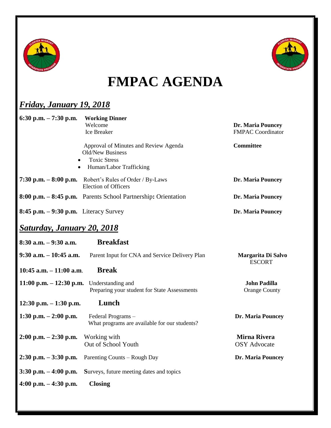



## **FMPAC AGENDA**

## *Friday, January 19, 2018*

| 6:30 p.m. $-7:30$ p.m.                   | <b>Working Dinner</b>                                               |                                             |
|------------------------------------------|---------------------------------------------------------------------|---------------------------------------------|
|                                          | Welcome                                                             | <b>Dr. Maria Pouncey</b>                    |
|                                          | <b>Ice Breaker</b>                                                  | <b>FMPAC Coordinator</b>                    |
|                                          | Approval of Minutes and Review Agenda<br>Old/New Business           | <b>Committee</b>                            |
| $\bullet$<br>$\bullet$                   | <b>Toxic Stress</b><br>Human/Labor Trafficking                      |                                             |
| 7:30 p.m. $-8:00$ p.m.                   | Robert's Rules of Order / By-Laws<br><b>Election of Officers</b>    | <b>Dr. Maria Pouncey</b>                    |
|                                          | 8:00 p.m. - 8:45 p.m. Parents School Partnership: Orientation       | <b>Dr. Maria Pouncey</b>                    |
| $8:45$ p.m. $-9:30$ p.m. Literacy Survey |                                                                     | <b>Dr. Maria Pouncey</b>                    |
| <b>Saturday, January 20, 2018</b>        |                                                                     |                                             |
| $8:30$ a.m. $-9:30$ a.m.                 | <b>Breakfast</b>                                                    |                                             |
| $9:30$ a.m. $-10:45$ a.m.                | Parent Input for CNA and Service Delivery Plan                      | Margarita Di Salvo<br><b>ESCORT</b>         |
| 10:45 a.m. $-11:00$ a.m.                 | <b>Break</b>                                                        |                                             |
| $11:00$ p.m. $- 12:30$ p.m.              | Understanding and<br>Preparing your student for State Assessments   | <b>John Padilla</b><br><b>Orange County</b> |
| 12:30 p.m. $-1:30$ p.m.                  | Lunch                                                               |                                             |
| 1:30 p.m. $-2:00$ p.m.                   | Federal Programs -<br>What programs are available for our students? | Dr. Maria Pouncey                           |
| $2:00$ p.m. $-2:30$ p.m.                 | Working with<br>Out of School Youth                                 | <b>Mirna Rivera</b><br><b>OSY</b> Advocate  |
| $2:30$ p.m. $-3:30$ p.m.                 | Parenting Counts – Rough Day                                        | <b>Dr. Maria Pouncey</b>                    |
| $3:30$ p.m. $-4:00$ p.m.                 | Surveys, future meeting dates and topics                            |                                             |
| 4:00 p.m. $-4:30$ p.m.                   | <b>Closing</b>                                                      |                                             |
|                                          |                                                                     |                                             |